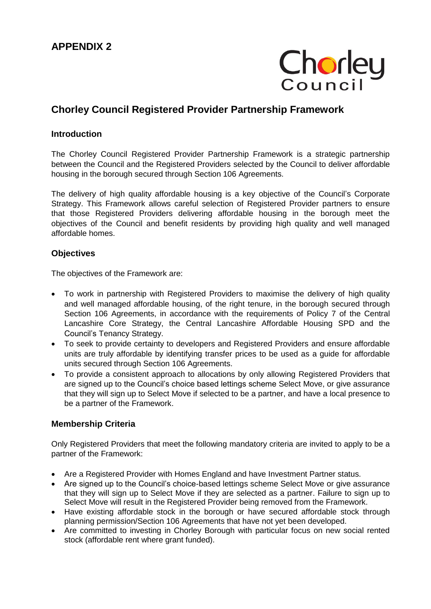

# **Chorley Council Registered Provider Partnership Framework**

## **Introduction**

The Chorley Council Registered Provider Partnership Framework is a strategic partnership between the Council and the Registered Providers selected by the Council to deliver affordable housing in the borough secured through Section 106 Agreements.

The delivery of high quality affordable housing is a key objective of the Council's Corporate Strategy. This Framework allows careful selection of Registered Provider partners to ensure that those Registered Providers delivering affordable housing in the borough meet the objectives of the Council and benefit residents by providing high quality and well managed affordable homes.

# **Objectives**

The objectives of the Framework are:

- To work in partnership with Registered Providers to maximise the delivery of high quality and well managed affordable housing, of the right tenure, in the borough secured through Section 106 Agreements, in accordance with the requirements of Policy 7 of the Central Lancashire Core Strategy, the Central Lancashire Affordable Housing SPD and the Council's Tenancy Strategy.
- To seek to provide certainty to developers and Registered Providers and ensure affordable units are truly affordable by identifying transfer prices to be used as a guide for affordable units secured through Section 106 Agreements.
- To provide a consistent approach to allocations by only allowing Registered Providers that are signed up to the Council's choice based lettings scheme Select Move, or give assurance that they will sign up to Select Move if selected to be a partner, and have a local presence to be a partner of the Framework.

## **Membership Criteria**

Only Registered Providers that meet the following mandatory criteria are invited to apply to be a partner of the Framework:

- Are a Registered Provider with Homes England and have Investment Partner status.
- Are signed up to the Council's choice-based lettings scheme Select Move or give assurance that they will sign up to Select Move if they are selected as a partner. Failure to sign up to Select Move will result in the Registered Provider being removed from the Framework.
- Have existing affordable stock in the borough or have secured affordable stock through planning permission/Section 106 Agreements that have not yet been developed.
- Are committed to investing in Chorley Borough with particular focus on new social rented stock (affordable rent where grant funded).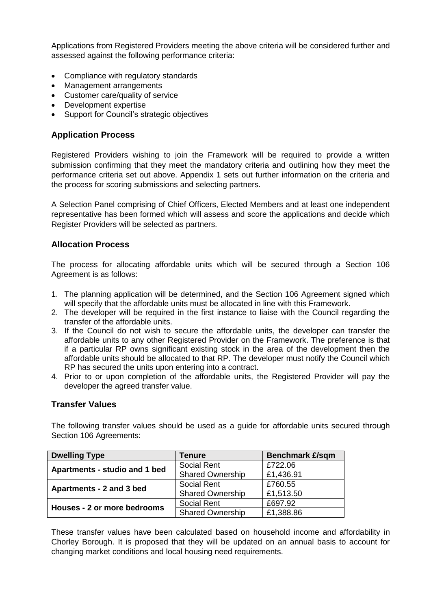Applications from Registered Providers meeting the above criteria will be considered further and assessed against the following performance criteria:

- Compliance with regulatory standards
- Management arrangements
- Customer care/quality of service
- Development expertise
- Support for Council's strategic objectives

# **Application Process**

Registered Providers wishing to join the Framework will be required to provide a written submission confirming that they meet the mandatory criteria and outlining how they meet the performance criteria set out above. Appendix 1 sets out further information on the criteria and the process for scoring submissions and selecting partners.

A Selection Panel comprising of Chief Officers, Elected Members and at least one independent representative has been formed which will assess and score the applications and decide which Register Providers will be selected as partners.

# **Allocation Process**

The process for allocating affordable units which will be secured through a Section 106 Agreement is as follows:

- 1. The planning application will be determined, and the Section 106 Agreement signed which will specify that the affordable units must be allocated in line with this Framework.
- 2. The developer will be required in the first instance to liaise with the Council regarding the transfer of the affordable units.
- 3. If the Council do not wish to secure the affordable units, the developer can transfer the affordable units to any other Registered Provider on the Framework. The preference is that if a particular RP owns significant existing stock in the area of the development then the affordable units should be allocated to that RP. The developer must notify the Council which RP has secured the units upon entering into a contract.
- 4. Prior to or upon completion of the affordable units, the Registered Provider will pay the developer the agreed transfer value.

## **Transfer Values**

The following transfer values should be used as a guide for affordable units secured through Section 106 Agreements:

| <b>Dwelling Type</b>          | <b>Tenure</b>           | <b>Benchmark £/sqm</b> |
|-------------------------------|-------------------------|------------------------|
| Apartments - studio and 1 bed | Social Rent             | £722.06                |
|                               | <b>Shared Ownership</b> | £1,436.91              |
| Apartments - 2 and 3 bed      | Social Rent             | £760.55                |
|                               | <b>Shared Ownership</b> | £1,513.50              |
| Houses - 2 or more bedrooms   | Social Rent             | £697.92                |
|                               | <b>Shared Ownership</b> | £1,388.86              |

These transfer values have been calculated based on household income and affordability in Chorley Borough. It is proposed that they will be updated on an annual basis to account for changing market conditions and local housing need requirements.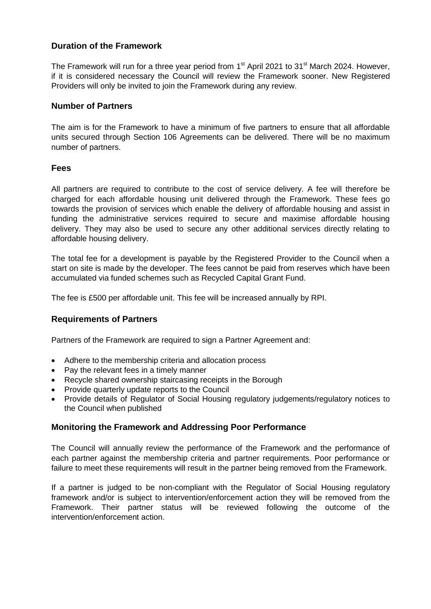# **Duration of the Framework**

The Framework will run for a three year period from 1<sup>st</sup> April 2021 to 31<sup>st</sup> March 2024. However, if it is considered necessary the Council will review the Framework sooner. New Registered Providers will only be invited to join the Framework during any review.

#### **Number of Partners**

The aim is for the Framework to have a minimum of five partners to ensure that all affordable units secured through Section 106 Agreements can be delivered. There will be no maximum number of partners.

#### **Fees**

All partners are required to contribute to the cost of service delivery. A fee will therefore be charged for each affordable housing unit delivered through the Framework. These fees go towards the provision of services which enable the delivery of affordable housing and assist in funding the administrative services required to secure and maximise affordable housing delivery. They may also be used to secure any other additional services directly relating to affordable housing delivery.

The total fee for a development is payable by the Registered Provider to the Council when a start on site is made by the developer. The fees cannot be paid from reserves which have been accumulated via funded schemes such as Recycled Capital Grant Fund.

The fee is £500 per affordable unit. This fee will be increased annually by RPI.

## **Requirements of Partners**

Partners of the Framework are required to sign a Partner Agreement and:

- Adhere to the membership criteria and allocation process
- Pay the relevant fees in a timely manner
- Recycle shared ownership staircasing receipts in the Borough
- Provide quarterly update reports to the Council
- Provide details of Regulator of Social Housing regulatory judgements/regulatory notices to the Council when published

## **Monitoring the Framework and Addressing Poor Performance**

The Council will annually review the performance of the Framework and the performance of each partner against the membership criteria and partner requirements. Poor performance or failure to meet these requirements will result in the partner being removed from the Framework.

If a partner is judged to be non-compliant with the Regulator of Social Housing regulatory framework and/or is subject to intervention/enforcement action they will be removed from the Framework. Their partner status will be reviewed following the outcome of the intervention/enforcement action.